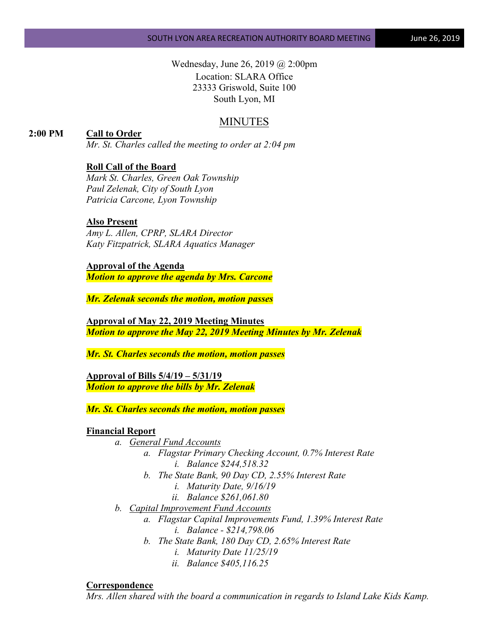Wednesday, June 26, 2019 @ 2:00pm Location: SLARA Office 23333 Griswold, Suite 100 South Lyon, MI

# MINUTES

## **2:00 PM Call to Order**

*Mr. St. Charles called the meeting to order at 2:04 pm*

### **Roll Call of the Board**

*Mark St. Charles, Green Oak Township Paul Zelenak, City of South Lyon Patricia Carcone, Lyon Township*

#### **Also Present**

*Amy L. Allen, CPRP, SLARA Director Katy Fitzpatrick, SLARA Aquatics Manager*

**Approval of the Agenda** *Motion to approve the agenda by Mrs. Carcone*

*Mr. Zelenak seconds the motion, motion passes*

**Approval of May 22, 2019 Meeting Minutes** *Motion to approve the May 22, 2019 Meeting Minutes by Mr. Zelenak*

*Mr. St. Charles seconds the motion, motion passes*

**Approval of Bills 5/4/19 – 5/31/19** *Motion to approve the bills by Mr. Zelenak*

*Mr. St. Charles seconds the motion, motion passes*

#### **Financial Report**

- *a. General Fund Accounts*
	- *a. Flagstar Primary Checking Account, 0.7% Interest Rate i. Balance \$244,518.32*
	- *b. The State Bank, 90 Day CD, 2.55% Interest Rate*
		- *i. Maturity Date, 9/16/19*
		- *ii. Balance \$261,061.80*
- *b. Capital Improvement Fund Accounts*
	- *a. Flagstar Capital Improvements Fund, 1.39% Interest Rate i. Balance - \$214,798.06*
	- *b. The State Bank, 180 Day CD, 2.65% Interest Rate*
		- *i. Maturity Date 11/25/19*
		- *ii. Balance \$405,116.25*

#### **Correspondence**

*Mrs. Allen shared with the board a communication in regards to Island Lake Kids Kamp.*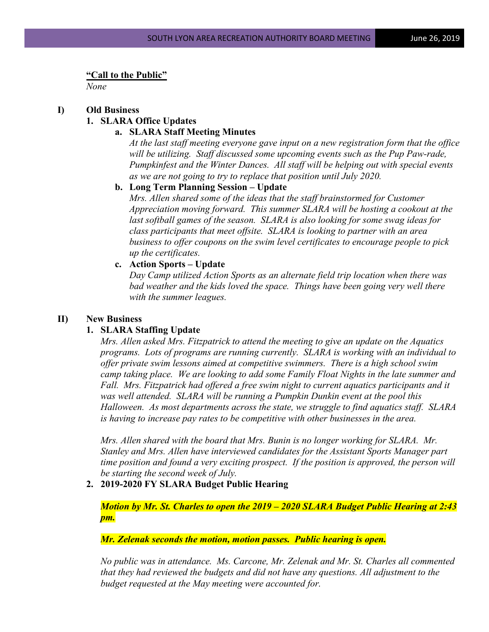#### **"Call to the Public"**

*None*

#### **I) Old Business**

#### **1. SLARA Office Updates**

#### **a. SLARA Staff Meeting Minutes**

*At the last staff meeting everyone gave input on a new registration form that the office will be utilizing. Staff discussed some upcoming events such as the Pup Paw-rade, Pumpkinfest and the Winter Dances. All staff will be helping out with special events as we are not going to try to replace that position until July 2020.*

### **b. Long Term Planning Session – Update**

*Mrs. Allen shared some of the ideas that the staff brainstormed for Customer Appreciation moving forward. This summer SLARA will be hosting a cookout at the last softball games of the season. SLARA is also looking for some swag ideas for class participants that meet offsite. SLARA is looking to partner with an area business to offer coupons on the swim level certificates to encourage people to pick up the certificates.*

### **c. Action Sports – Update**

*Day Camp utilized Action Sports as an alternate field trip location when there was bad weather and the kids loved the space. Things have been going very well there with the summer leagues.*

#### **II) New Business**

#### **1. SLARA Staffing Update**

*Mrs. Allen asked Mrs. Fitzpatrick to attend the meeting to give an update on the Aquatics programs. Lots of programs are running currently. SLARA is working with an individual to offer private swim lessons aimed at competitive swimmers. There is a high school swim camp taking place. We are looking to add some Family Float Nights in the late summer and Fall. Mrs. Fitzpatrick had offered a free swim night to current aquatics participants and it was well attended. SLARA will be running a Pumpkin Dunkin event at the pool this Halloween. As most departments across the state, we struggle to find aquatics staff. SLARA is having to increase pay rates to be competitive with other businesses in the area.* 

*Mrs. Allen shared with the board that Mrs. Bunin is no longer working for SLARA. Mr. Stanley and Mrs. Allen have interviewed candidates for the Assistant Sports Manager part time position and found a very exciting prospect. If the position is approved, the person will be starting the second week of July.*

#### **2. 2019-2020 FY SLARA Budget Public Hearing**

*Motion by Mr. St. Charles to open the 2019 – 2020 SLARA Budget Public Hearing at 2:43 pm.* 

*Mr. Zelenak seconds the motion, motion passes. Public hearing is open.*

*No public was in attendance. Ms. Carcone, Mr. Zelenak and Mr. St. Charles all commented that they had reviewed the budgets and did not have any questions. All adjustment to the budget requested at the May meeting were accounted for.*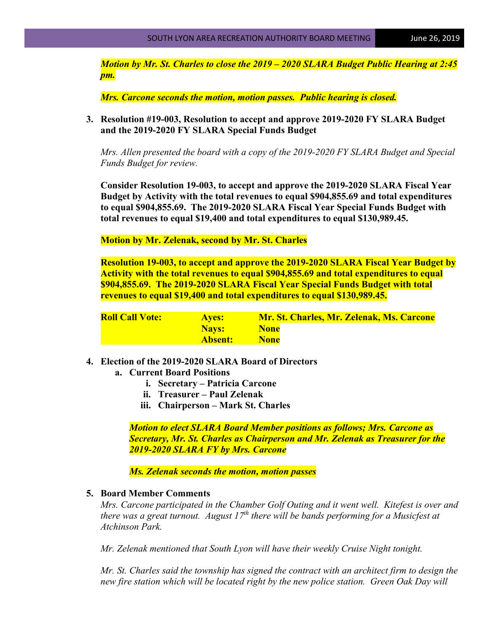*Motion by Mr. St. Charles to close the 2019 – 2020 SLARA Budget Public Hearing at 2:45 pm.* 

*Mrs. Carcone seconds the motion, motion passes. Public hearing is closed.*

**3. Resolution #19-003, Resolution to accept and approve 2019-2020 FY SLARA Budget and the 2019-2020 FY SLARA Special Funds Budget**

*Mrs. Allen presented the board with a copy of the 2019-2020 FY SLARA Budget and Special Funds Budget for review.*

**Consider Resolution 19-003, to accept and approve the 2019-2020 SLARA Fiscal Year Budget by Activity with the total revenues to equal \$904,855.69 and total expenditures to equal \$904,855.69. The 2019-2020 SLARA Fiscal Year Special Funds Budget with total revenues to equal \$19,400 and total expenditures to equal \$130,989.45.**

**Motion by Mr. Zelenak, second by Mr. St. Charles**

**Resolution 19-003, to accept and approve the 2019-2020 SLARA Fiscal Year Budget by Activity with the total revenues to equal \$904,855.69 and total expenditures to equal \$904,855.69. The 2019-2020 SLARA Fiscal Year Special Funds Budget with total revenues to equal \$19,400 and total expenditures to equal \$130,989.45.**

| <b>Roll Call Vote:</b> | <b>Aves:</b> | Mr. St. Charles, Mr. Zelenak, Ms. Carcone |
|------------------------|--------------|-------------------------------------------|
|                        | <b>Navs:</b> | <b>None</b>                               |
|                        | Absent:      | <b>None</b>                               |

- **4. Election of the 2019-2020 SLARA Board of Directors**
	- **a. Current Board Positions**
		- **i. Secretary – Patricia Carcone**
		- **ii. Treasurer – Paul Zelenak**
		- **iii. Chairperson – Mark St. Charles**

*Motion to elect SLARA Board Member positions as follows; Mrs. Carcone as Secretary, Mr. St. Charles as Chairperson and Mr. Zelenak as Treasurer for the 2019-2020 SLARA FY by Mrs. Carcone*

*Ms. Zelenak seconds the motion, motion passes*

### **5. Board Member Comments**

*Mrs. Carcone participated in the Chamber Golf Outing and it went well. Kitefest is over and there was a great turnout. August 17th there will be bands performing for a Musicfest at Atchinson Park.* 

*Mr. Zelenak mentioned that South Lyon will have their weekly Cruise Night tonight.* 

*Mr. St. Charles said the township has signed the contract with an architect firm to design the new fire station which will be located right by the new police station. Green Oak Day will*